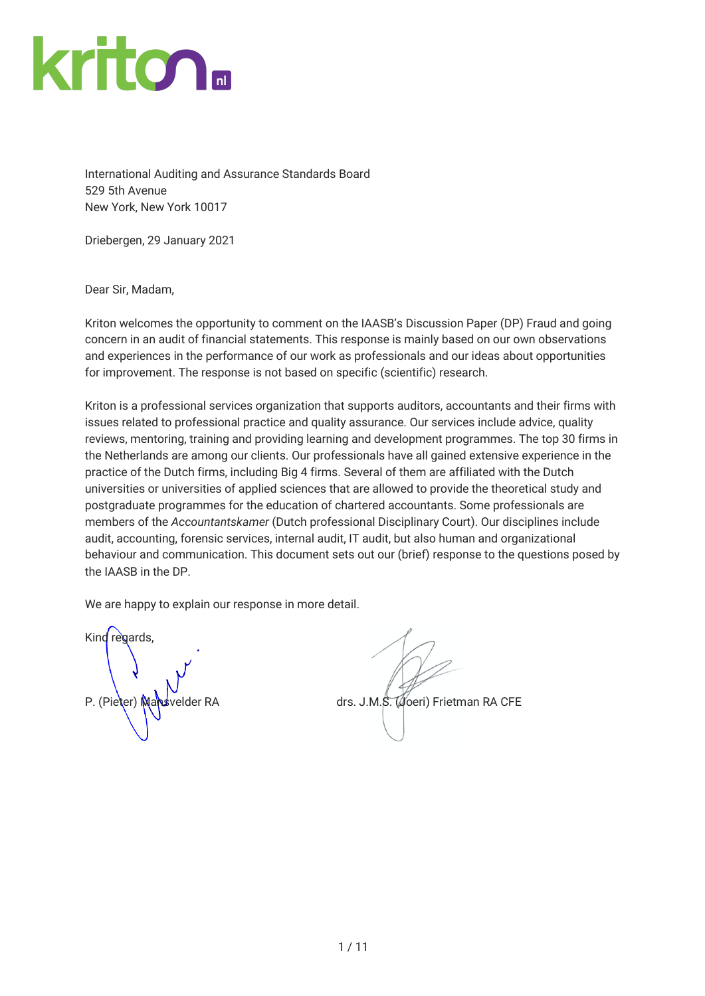

International Auditing and Assurance Standards Board 529 5th Avenue New York, New York 10017

Driebergen, 29 January 2021

Dear Sir, Madam,

Kriton welcomes the opportunity to comment on the IAASB's Discussion Paper (DP) Fraud and going concern in an audit of financial statements. This response is mainly based on our own observations and experiences in the performance of our work as professionals and our ideas about opportunities for improvement. The response is not based on specific (scientific) research.

Kriton is a professional services organization that supports auditors, accountants and their firms with issues related to professional practice and quality assurance. Our services include advice, quality reviews, mentoring, training and providing learning and development programmes. The top 30 firms in the Netherlands are among our clients. Our professionals have all gained extensive experience in the practice of the Dutch firms, including Big 4 firms. Several of them are affiliated with the Dutch universities or universities of applied sciences that are allowed to provide the theoretical study and postgraduate programmes for the education of chartered accountants. Some professionals are members of the *Accountantskamer* (Dutch professional Disciplinary Court). Our disciplines include audit, accounting, forensic services, internal audit, IT audit, but also human and organizational behaviour and communication. This document sets out our (brief) response to the questions posed by the IAASB in the DP.

We are happy to explain our response in more detail.

Kind regards,

P. (Pieter) Mansvelder RA drs. J.M.S. (Joeri) Frietman RA CFE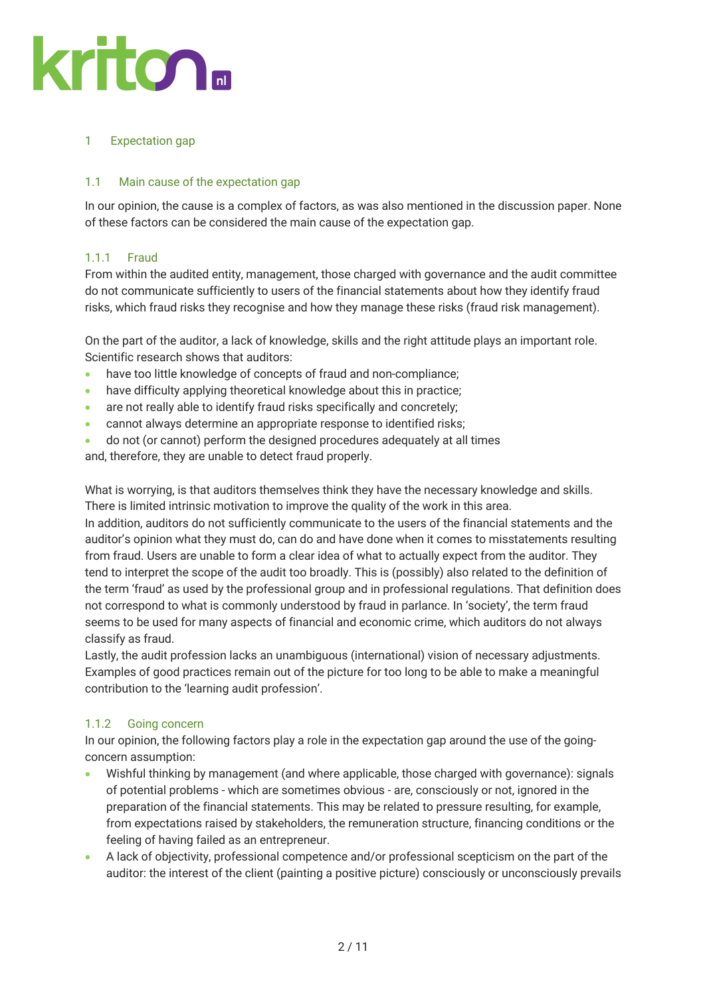# 1 Expectation gap

### 1.1 Main cause of the expectation gap

In our opinion, the cause is a complex of factors, as was also mentioned in the discussion paper. None of these factors can be considered the main cause of the expectation gap.

### 1.1.1 Fraud

From within the audited entity, management, those charged with governance and the audit committee do not communicate sufficiently to users of the financial statements about how they identify fraud risks, which fraud risks they recognise and how they manage these risks (fraud risk management).

On the part of the auditor, a lack of knowledge, skills and the right attitude plays an important role. Scientific research shows that auditors:

- have too little knowledge of concepts of fraud and non-compliance;
- have difficulty applying theoretical knowledge about this in practice;
- are not really able to identify fraud risks specifically and concretely;
- cannot always determine an appropriate response to identified risks;
- do not (or cannot) perform the designed procedures adequately at all times

and, therefore, they are unable to detect fraud properly.

What is worrying, is that auditors themselves think they have the necessary knowledge and skills. There is limited intrinsic motivation to improve the quality of the work in this area.

In addition, auditors do not sufficiently communicate to the users of the financial statements and the auditor's opinion what they must do, can do and have done when it comes to misstatements resulting from fraud. Users are unable to form a clear idea of what to actually expect from the auditor. They tend to interpret the scope of the audit too broadly. This is (possibly) also related to the definition of the term 'fraud' as used by the professional group and in professional regulations. That definition does not correspond to what is commonly understood by fraud in parlance. In 'society', the term fraud seems to be used for many aspects of financial and economic crime, which auditors do not always classify as fraud.

Lastly, the audit profession lacks an unambiguous (international) vision of necessary adjustments. Examples of good practices remain out of the picture for too long to be able to make a meaningful contribution to the 'learning audit profession'.

### 1.1.2 Going concern

In our opinion, the following factors play a role in the expectation gap around the use of the goingconcern assumption:

- Wishful thinking by management (and where applicable, those charged with governance): signals of potential problems - which are sometimes obvious - are, consciously or not, ignored in the preparation of the financial statements. This may be related to pressure resulting, for example, from expectations raised by stakeholders, the remuneration structure, financing conditions or the feeling of having failed as an entrepreneur.
- A lack of objectivity, professional competence and/or professional scepticism on the part of the auditor: the interest of the client (painting a positive picture) consciously or unconsciously prevails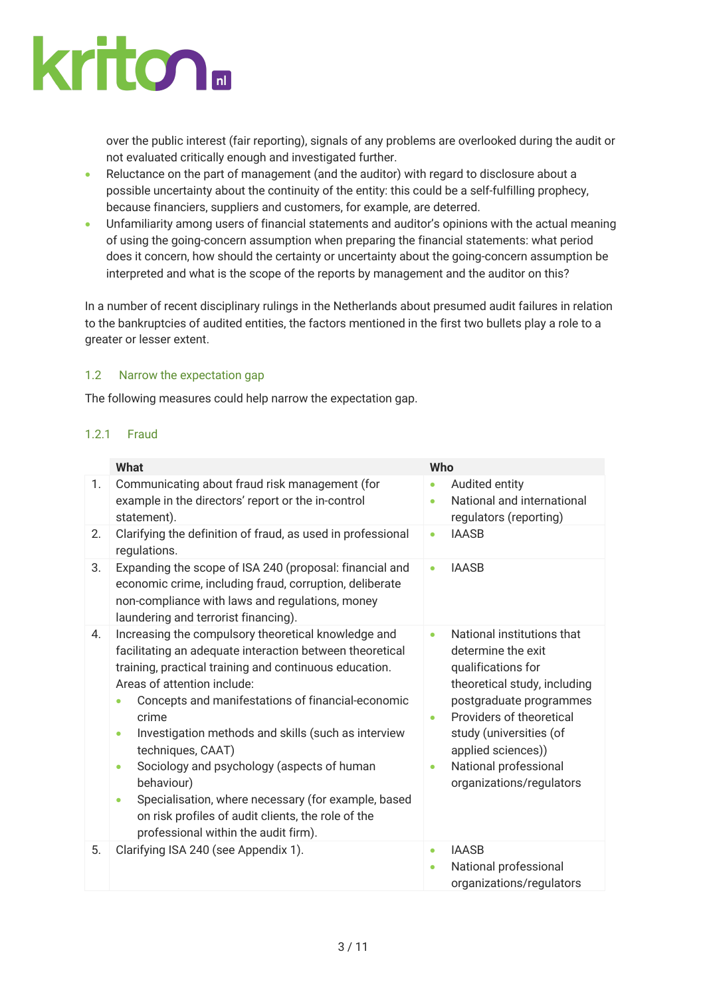

over the public interest (fair reporting), signals of any problems are overlooked during the audit or not evaluated critically enough and investigated further.

- Reluctance on the part of management (and the auditor) with regard to disclosure about a possible uncertainty about the continuity of the entity: this could be a self-fulfilling prophecy, because financiers, suppliers and customers, for example, are deterred.
- Unfamiliarity among users of financial statements and auditor's opinions with the actual meaning of using the going-concern assumption when preparing the financial statements: what period does it concern, how should the certainty or uncertainty about the going-concern assumption be interpreted and what is the scope of the reports by management and the auditor on this?

In a number of recent disciplinary rulings in the Netherlands about presumed audit failures in relation to the bankruptcies of audited entities, the factors mentioned in the first two bullets play a role to a greater or lesser extent.

#### 1.2 Narrow the expectation gap

The following measures could help narrow the expectation gap.

#### 1.2.1 Fraud

|    | <b>What</b>                                                                                                                                                                                                                                                                                                                                                                                                                                                                                                                                                                                | Who                    |                                                                                                                                                                                                                                                                     |
|----|--------------------------------------------------------------------------------------------------------------------------------------------------------------------------------------------------------------------------------------------------------------------------------------------------------------------------------------------------------------------------------------------------------------------------------------------------------------------------------------------------------------------------------------------------------------------------------------------|------------------------|---------------------------------------------------------------------------------------------------------------------------------------------------------------------------------------------------------------------------------------------------------------------|
| 1. | Communicating about fraud risk management (for<br>example in the directors' report or the in-control<br>statement).                                                                                                                                                                                                                                                                                                                                                                                                                                                                        | $\bullet$<br>$\bullet$ | Audited entity<br>National and international<br>regulators (reporting)                                                                                                                                                                                              |
| 2. | Clarifying the definition of fraud, as used in professional<br>regulations.                                                                                                                                                                                                                                                                                                                                                                                                                                                                                                                | $\bullet$              | <b>IAASB</b>                                                                                                                                                                                                                                                        |
| 3. | Expanding the scope of ISA 240 (proposal: financial and<br>economic crime, including fraud, corruption, deliberate<br>non-compliance with laws and regulations, money<br>laundering and terrorist financing).                                                                                                                                                                                                                                                                                                                                                                              | ۰                      | <b>IAASB</b>                                                                                                                                                                                                                                                        |
| 4. | Increasing the compulsory theoretical knowledge and<br>facilitating an adequate interaction between theoretical<br>training, practical training and continuous education.<br>Areas of attention include:<br>Concepts and manifestations of financial-economic<br>crime<br>Investigation methods and skills (such as interview<br>۰<br>techniques, CAAT)<br>Sociology and psychology (aspects of human<br>٠<br>behaviour)<br>Specialisation, where necessary (for example, based<br>$\bullet$<br>on risk profiles of audit clients, the role of the<br>professional within the audit firm). | $\bullet$<br>۰<br>۰    | National institutions that<br>determine the exit<br>qualifications for<br>theoretical study, including<br>postgraduate programmes<br>Providers of theoretical<br>study (universities (of<br>applied sciences))<br>National professional<br>organizations/regulators |
| 5. | Clarifying ISA 240 (see Appendix 1).                                                                                                                                                                                                                                                                                                                                                                                                                                                                                                                                                       | ۰<br>$\bullet$         | <b>IAASB</b><br>National professional<br>organizations/regulators                                                                                                                                                                                                   |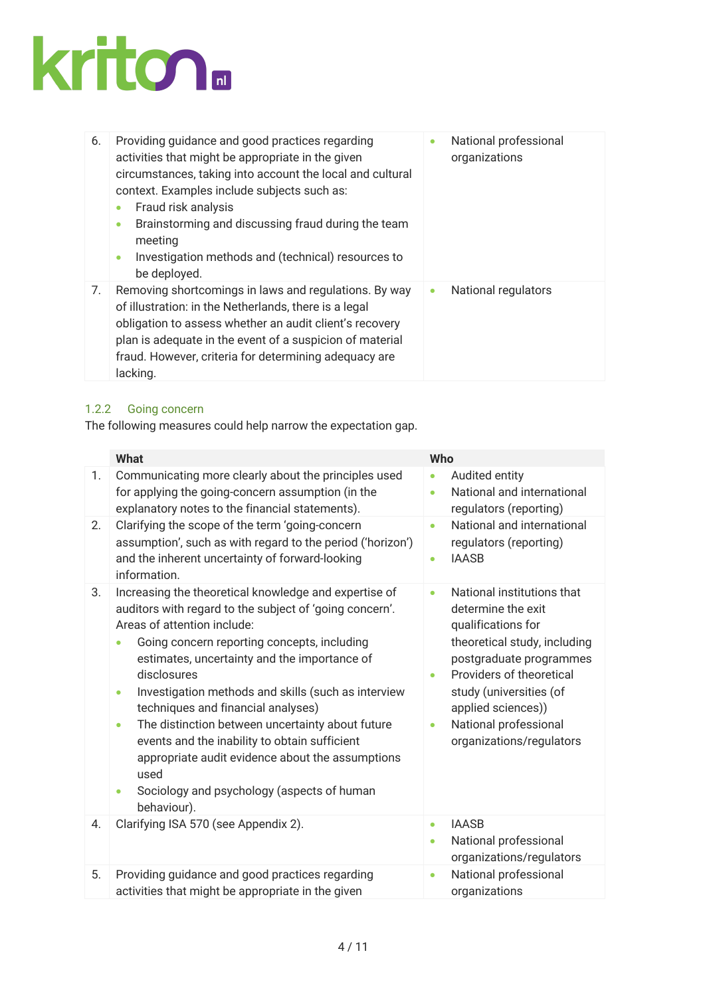

| 6. | Providing guidance and good practices regarding<br>activities that might be appropriate in the given<br>circumstances, taking into account the local and cultural<br>context. Examples include subjects such as:<br>Fraud risk analysis<br>$\bullet$<br>Brainstorming and discussing fraud during the team<br>٠<br>meeting<br>Investigation methods and (technical) resources to<br>۰<br>be deployed. | National professional<br>organizations |
|----|-------------------------------------------------------------------------------------------------------------------------------------------------------------------------------------------------------------------------------------------------------------------------------------------------------------------------------------------------------------------------------------------------------|----------------------------------------|
| 7. | Removing shortcomings in laws and regulations. By way<br>of illustration: in the Netherlands, there is a legal<br>obligation to assess whether an audit client's recovery<br>plan is adequate in the event of a suspicion of material<br>fraud. However, criteria for determining adequacy are<br>lacking.                                                                                            | National regulators<br>$\bullet$       |

# 1.2.2 Going concern

The following measures could help narrow the expectation gap.

|          | <b>What</b>                                                                                                                                                                                                                                                                                                                                                                                                                                                                                                                                                                                                | Who                                                                                                                                                                                                                                                                                                |
|----------|------------------------------------------------------------------------------------------------------------------------------------------------------------------------------------------------------------------------------------------------------------------------------------------------------------------------------------------------------------------------------------------------------------------------------------------------------------------------------------------------------------------------------------------------------------------------------------------------------------|----------------------------------------------------------------------------------------------------------------------------------------------------------------------------------------------------------------------------------------------------------------------------------------------------|
| 1.<br>2. | Communicating more clearly about the principles used<br>for applying the going-concern assumption (in the<br>explanatory notes to the financial statements).<br>Clarifying the scope of the term 'going-concern                                                                                                                                                                                                                                                                                                                                                                                            | Audited entity<br>$\bullet$<br>National and international<br>۰<br>regulators (reporting)<br>National and international<br>$\bullet$                                                                                                                                                                |
|          | assumption', such as with regard to the period ('horizon')<br>and the inherent uncertainty of forward-looking<br>information.                                                                                                                                                                                                                                                                                                                                                                                                                                                                              | regulators (reporting)<br><b>IAASB</b><br>۰                                                                                                                                                                                                                                                        |
| 3.       | Increasing the theoretical knowledge and expertise of<br>auditors with regard to the subject of 'going concern'.<br>Areas of attention include:<br>Going concern reporting concepts, including<br>estimates, uncertainty and the importance of<br>disclosures<br>Investigation methods and skills (such as interview<br>۰<br>techniques and financial analyses)<br>The distinction between uncertainty about future<br>$\bullet$<br>events and the inability to obtain sufficient<br>appropriate audit evidence about the assumptions<br>used<br>Sociology and psychology (aspects of human<br>behaviour). | National institutions that<br>۰<br>determine the exit<br>qualifications for<br>theoretical study, including<br>postgraduate programmes<br>Providers of theoretical<br>$\bullet$<br>study (universities (of<br>applied sciences))<br>National professional<br>$\bullet$<br>organizations/regulators |
| 4.       | Clarifying ISA 570 (see Appendix 2).                                                                                                                                                                                                                                                                                                                                                                                                                                                                                                                                                                       | <b>IAASB</b><br>$\bullet$<br>National professional<br>$\bullet$<br>organizations/regulators                                                                                                                                                                                                        |
| 5.       | Providing guidance and good practices regarding<br>activities that might be appropriate in the given                                                                                                                                                                                                                                                                                                                                                                                                                                                                                                       | National professional<br>$\bullet$<br>organizations                                                                                                                                                                                                                                                |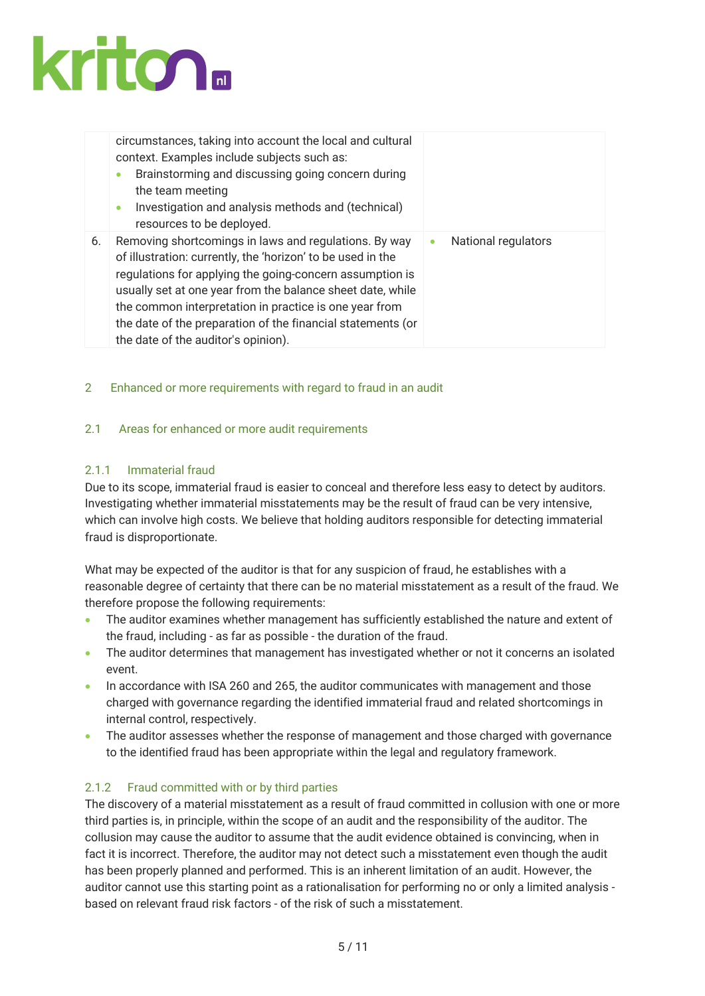

|    | circumstances, taking into account the local and cultural<br>context. Examples include subjects such as:<br>Brainstorming and discussing going concern during<br>۰<br>the team meeting<br>Investigation and analysis methods and (technical)<br>$\bullet$ |                                         |
|----|-----------------------------------------------------------------------------------------------------------------------------------------------------------------------------------------------------------------------------------------------------------|-----------------------------------------|
| 6. | resources to be deployed.<br>Removing shortcomings in laws and regulations. By way<br>of illustration: currently, the 'horizon' to be used in the                                                                                                         | <b>National regulators</b><br>$\bullet$ |
|    | regulations for applying the going-concern assumption is<br>usually set at one year from the balance sheet date, while<br>the common interpretation in practice is one year from                                                                          |                                         |
|    | the date of the preparation of the financial statements (or<br>the date of the auditor's opinion).                                                                                                                                                        |                                         |

### 2 Enhanced or more requirements with regard to fraud in an audit

#### 2.1 Areas for enhanced or more audit requirements

#### 2.1.1 Immaterial fraud

Due to its scope, immaterial fraud is easier to conceal and therefore less easy to detect by auditors. Investigating whether immaterial misstatements may be the result of fraud can be very intensive, which can involve high costs. We believe that holding auditors responsible for detecting immaterial fraud is disproportionate.

What may be expected of the auditor is that for any suspicion of fraud, he establishes with a reasonable degree of certainty that there can be no material misstatement as a result of the fraud. We therefore propose the following requirements:

- The auditor examines whether management has sufficiently established the nature and extent of the fraud, including - as far as possible - the duration of the fraud.
- The auditor determines that management has investigated whether or not it concerns an isolated event.
- In accordance with ISA 260 and 265, the auditor communicates with management and those charged with governance regarding the identified immaterial fraud and related shortcomings in internal control, respectively.
- The auditor assesses whether the response of management and those charged with governance to the identified fraud has been appropriate within the legal and regulatory framework.

#### 2.1.2 Fraud committed with or by third parties

The discovery of a material misstatement as a result of fraud committed in collusion with one or more third parties is, in principle, within the scope of an audit and the responsibility of the auditor. The collusion may cause the auditor to assume that the audit evidence obtained is convincing, when in fact it is incorrect. Therefore, the auditor may not detect such a misstatement even though the audit has been properly planned and performed. This is an inherent limitation of an audit. However, the auditor cannot use this starting point as a rationalisation for performing no or only a limited analysis based on relevant fraud risk factors - of the risk of such a misstatement.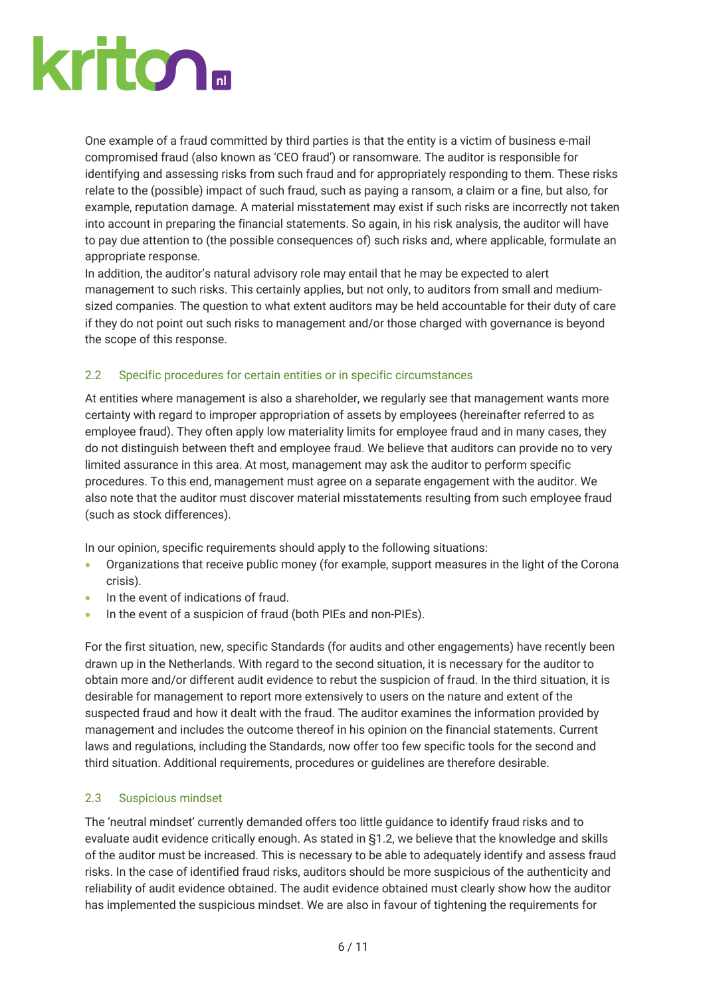One example of a fraud committed by third parties is that the entity is a victim of business e-mail compromised fraud (also known as 'CEO fraud') or ransomware. The auditor is responsible for identifying and assessing risks from such fraud and for appropriately responding to them. These risks relate to the (possible) impact of such fraud, such as paying a ransom, a claim or a fine, but also, for example, reputation damage. A material misstatement may exist if such risks are incorrectly not taken into account in preparing the financial statements. So again, in his risk analysis, the auditor will have to pay due attention to (the possible consequences of) such risks and, where applicable, formulate an appropriate response.

In addition, the auditor's natural advisory role may entail that he may be expected to alert management to such risks. This certainly applies, but not only, to auditors from small and mediumsized companies. The question to what extent auditors may be held accountable for their duty of care if they do not point out such risks to management and/or those charged with governance is beyond the scope of this response.

# 2.2 Specific procedures for certain entities or in specific circumstances

At entities where management is also a shareholder, we regularly see that management wants more certainty with regard to improper appropriation of assets by employees (hereinafter referred to as employee fraud). They often apply low materiality limits for employee fraud and in many cases, they do not distinguish between theft and employee fraud. We believe that auditors can provide no to very limited assurance in this area. At most, management may ask the auditor to perform specific procedures. To this end, management must agree on a separate engagement with the auditor. We also note that the auditor must discover material misstatements resulting from such employee fraud (such as stock differences).

In our opinion, specific requirements should apply to the following situations:

- Organizations that receive public money (for example, support measures in the light of the Corona crisis).
- In the event of indications of fraud.
- In the event of a suspicion of fraud (both PIEs and non-PIEs).

For the first situation, new, specific Standards (for audits and other engagements) have recently been drawn up in the Netherlands. With regard to the second situation, it is necessary for the auditor to obtain more and/or different audit evidence to rebut the suspicion of fraud. In the third situation, it is desirable for management to report more extensively to users on the nature and extent of the suspected fraud and how it dealt with the fraud. The auditor examines the information provided by management and includes the outcome thereof in his opinion on the financial statements. Current laws and regulations, including the Standards, now offer too few specific tools for the second and third situation. Additional requirements, procedures or guidelines are therefore desirable.

### 2.3 Suspicious mindset

The 'neutral mindset' currently demanded offers too little guidance to identify fraud risks and to evaluate audit evidence critically enough. As stated in §1.2, we believe that the knowledge and skills of the auditor must be increased. This is necessary to be able to adequately identify and assess fraud risks. In the case of identified fraud risks, auditors should be more suspicious of the authenticity and reliability of audit evidence obtained. The audit evidence obtained must clearly show how the auditor has implemented the suspicious mindset. We are also in favour of tightening the requirements for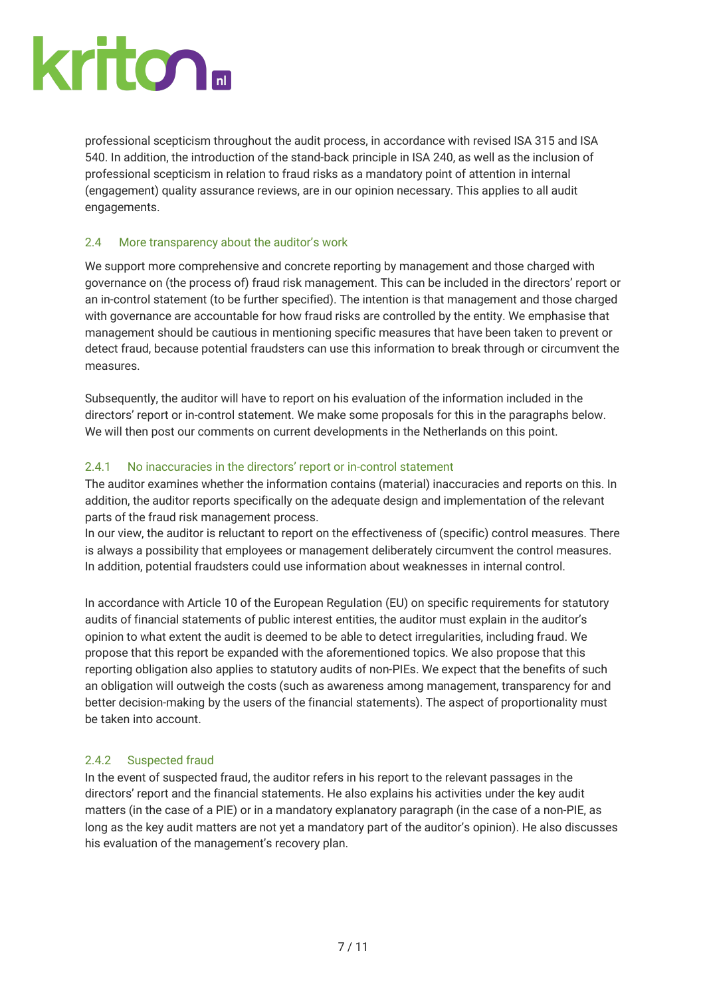professional scepticism throughout the audit process, in accordance with revised ISA 315 and ISA 540. In addition, the introduction of the stand-back principle in ISA 240, as well as the inclusion of professional scepticism in relation to fraud risks as a mandatory point of attention in internal (engagement) quality assurance reviews, are in our opinion necessary. This applies to all audit engagements.

# 2.4 More transparency about the auditor's work

We support more comprehensive and concrete reporting by management and those charged with governance on (the process of) fraud risk management. This can be included in the directors' report or an in-control statement (to be further specified). The intention is that management and those charged with governance are accountable for how fraud risks are controlled by the entity. We emphasise that management should be cautious in mentioning specific measures that have been taken to prevent or detect fraud, because potential fraudsters can use this information to break through or circumvent the measures.

Subsequently, the auditor will have to report on his evaluation of the information included in the directors' report or in-control statement. We make some proposals for this in the paragraphs below. We will then post our comments on current developments in the Netherlands on this point.

# 2.4.1 No inaccuracies in the directors' report or in-control statement

The auditor examines whether the information contains (material) inaccuracies and reports on this. In addition, the auditor reports specifically on the adequate design and implementation of the relevant parts of the fraud risk management process.

In our view, the auditor is reluctant to report on the effectiveness of (specific) control measures. There is always a possibility that employees or management deliberately circumvent the control measures. In addition, potential fraudsters could use information about weaknesses in internal control.

In accordance with Article 10 of the European Regulation (EU) on specific requirements for statutory audits of financial statements of public interest entities, the auditor must explain in the auditor's opinion to what extent the audit is deemed to be able to detect irregularities, including fraud. We propose that this report be expanded with the aforementioned topics. We also propose that this reporting obligation also applies to statutory audits of non-PIEs. We expect that the benefits of such an obligation will outweigh the costs (such as awareness among management, transparency for and better decision-making by the users of the financial statements). The aspect of proportionality must be taken into account.

### 2.4.2 Suspected fraud

In the event of suspected fraud, the auditor refers in his report to the relevant passages in the directors' report and the financial statements. He also explains his activities under the key audit matters (in the case of a PIE) or in a mandatory explanatory paragraph (in the case of a non-PIE, as long as the key audit matters are not yet a mandatory part of the auditor's opinion). He also discusses his evaluation of the management's recovery plan.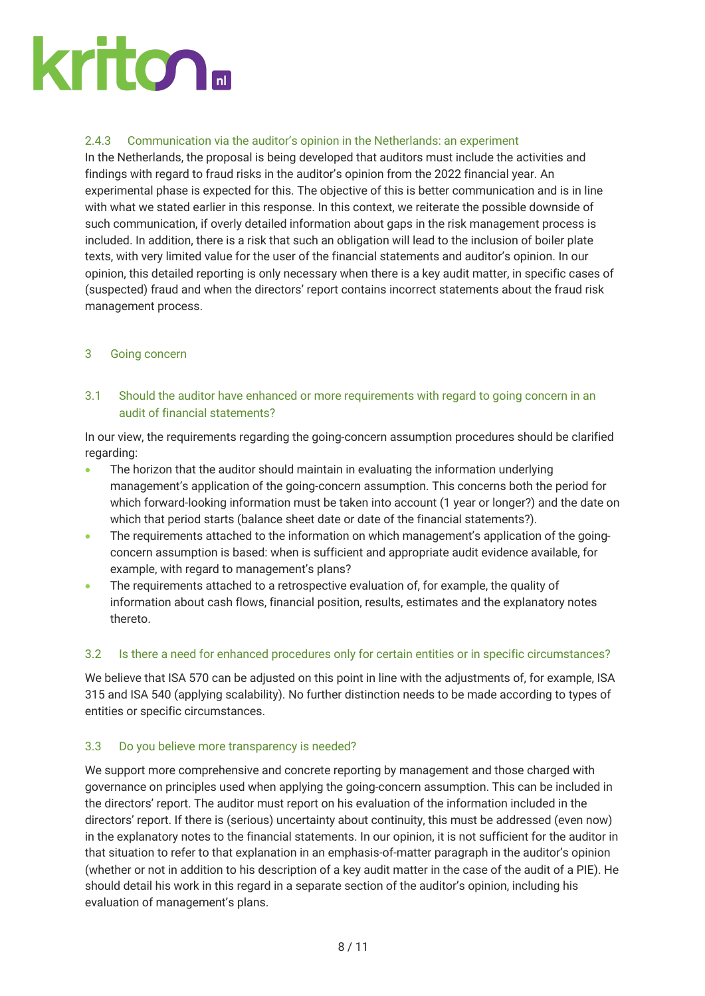### 2.4.3 Communication via the auditor's opinion in the Netherlands: an experiment

In the Netherlands, the proposal is being developed that auditors must include the activities and findings with regard to fraud risks in the auditor's opinion from the 2022 financial year. An experimental phase is expected for this. The objective of this is better communication and is in line with what we stated earlier in this response. In this context, we reiterate the possible downside of such communication, if overly detailed information about gaps in the risk management process is included. In addition, there is a risk that such an obligation will lead to the inclusion of boiler plate texts, with very limited value for the user of the financial statements and auditor's opinion. In our opinion, this detailed reporting is only necessary when there is a key audit matter, in specific cases of (suspected) fraud and when the directors' report contains incorrect statements about the fraud risk management process.

### 3 Going concern

3.1 Should the auditor have enhanced or more requirements with regard to going concern in an audit of financial statements?

In our view, the requirements regarding the going-concern assumption procedures should be clarified regarding:

- The horizon that the auditor should maintain in evaluating the information underlying management's application of the going-concern assumption. This concerns both the period for which forward-looking information must be taken into account (1 year or longer?) and the date on which that period starts (balance sheet date or date of the financial statements?).
- The requirements attached to the information on which management's application of the goingconcern assumption is based: when is sufficient and appropriate audit evidence available, for example, with regard to management's plans?
- The requirements attached to a retrospective evaluation of, for example, the quality of information about cash flows, financial position, results, estimates and the explanatory notes thereto.

### 3.2 Is there a need for enhanced procedures only for certain entities or in specific circumstances?

We believe that ISA 570 can be adjusted on this point in line with the adjustments of, for example, ISA 315 and ISA 540 (applying scalability). No further distinction needs to be made according to types of entities or specific circumstances.

### 3.3 Do you believe more transparency is needed?

We support more comprehensive and concrete reporting by management and those charged with governance on principles used when applying the going-concern assumption. This can be included in the directors' report. The auditor must report on his evaluation of the information included in the directors' report. If there is (serious) uncertainty about continuity, this must be addressed (even now) in the explanatory notes to the financial statements. In our opinion, it is not sufficient for the auditor in that situation to refer to that explanation in an emphasis-of-matter paragraph in the auditor's opinion (whether or not in addition to his description of a key audit matter in the case of the audit of a PIE). He should detail his work in this regard in a separate section of the auditor's opinion, including his evaluation of management's plans.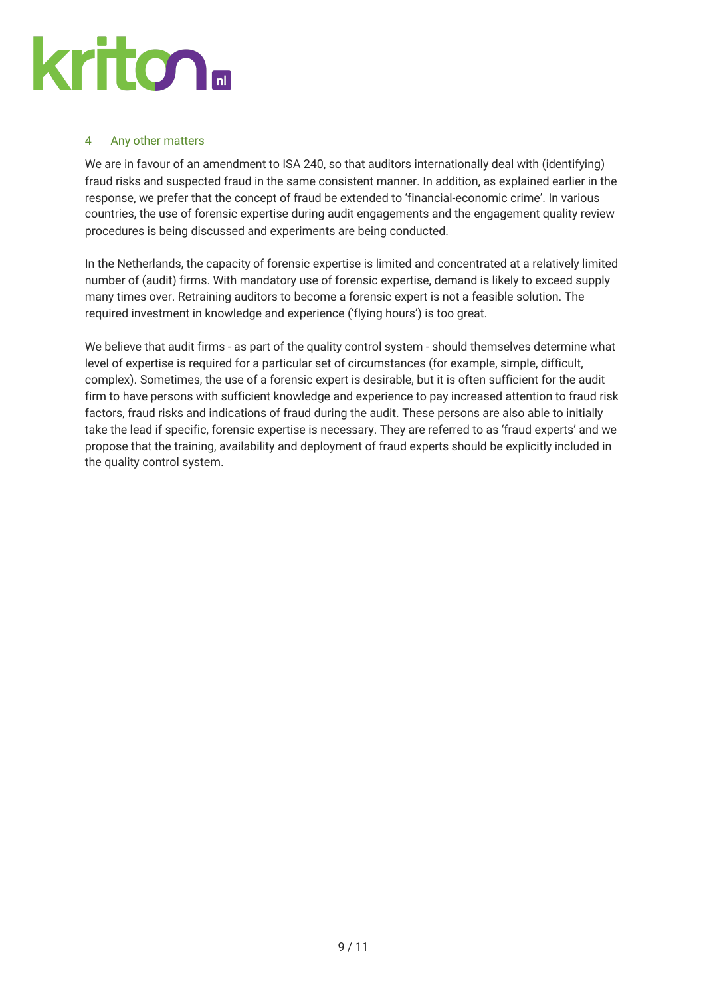

#### 4 Any other matters

We are in favour of an amendment to ISA 240, so that auditors internationally deal with (identifying) fraud risks and suspected fraud in the same consistent manner. In addition, as explained earlier in the response, we prefer that the concept of fraud be extended to 'financial-economic crime'. In various countries, the use of forensic expertise during audit engagements and the engagement quality review procedures is being discussed and experiments are being conducted.

In the Netherlands, the capacity of forensic expertise is limited and concentrated at a relatively limited number of (audit) firms. With mandatory use of forensic expertise, demand is likely to exceed supply many times over. Retraining auditors to become a forensic expert is not a feasible solution. The required investment in knowledge and experience ('flying hours') is too great.

We believe that audit firms - as part of the quality control system - should themselves determine what level of expertise is required for a particular set of circumstances (for example, simple, difficult, complex). Sometimes, the use of a forensic expert is desirable, but it is often sufficient for the audit firm to have persons with sufficient knowledge and experience to pay increased attention to fraud risk factors, fraud risks and indications of fraud during the audit. These persons are also able to initially take the lead if specific, forensic expertise is necessary. They are referred to as 'fraud experts' and we propose that the training, availability and deployment of fraud experts should be explicitly included in the quality control system.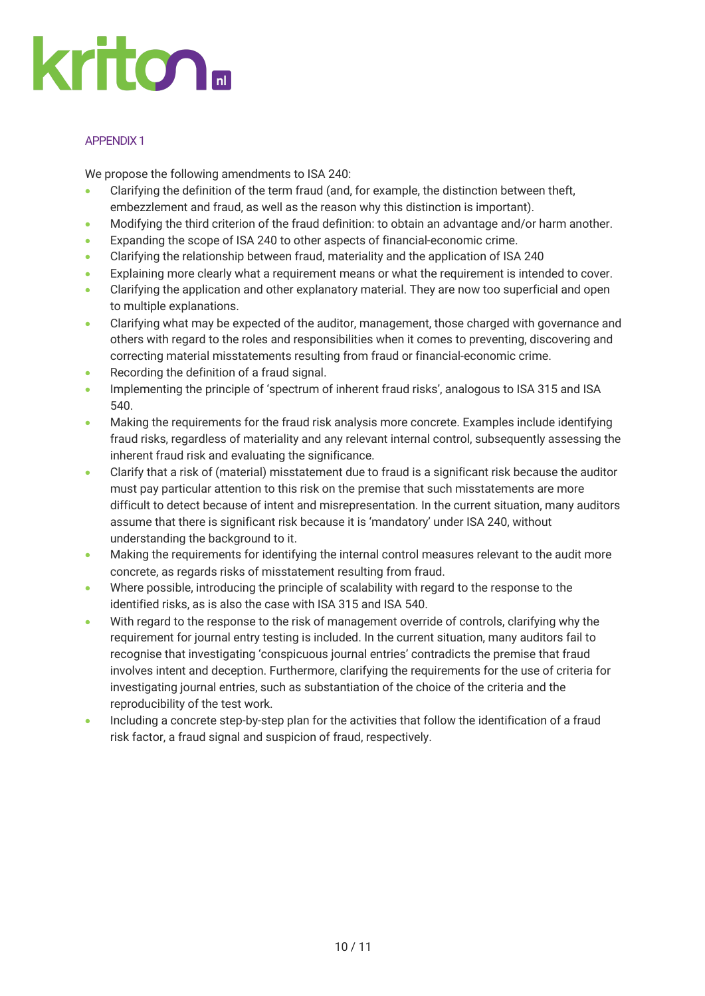

#### APPENDIX 1

We propose the following amendments to ISA 240:

- Clarifying the definition of the term fraud (and, for example, the distinction between theft, embezzlement and fraud, as well as the reason why this distinction is important).
- Modifying the third criterion of the fraud definition: to obtain an advantage and/or harm another.
- Expanding the scope of ISA 240 to other aspects of financial-economic crime.
- Clarifying the relationship between fraud, materiality and the application of ISA 240
- Explaining more clearly what a requirement means or what the requirement is intended to cover.
- Clarifying the application and other explanatory material. They are now too superficial and open to multiple explanations.
- Clarifying what may be expected of the auditor, management, those charged with governance and others with regard to the roles and responsibilities when it comes to preventing, discovering and correcting material misstatements resulting from fraud or financial-economic crime.
- Recording the definition of a fraud signal.
- Implementing the principle of 'spectrum of inherent fraud risks', analogous to ISA 315 and ISA 540.
- Making the requirements for the fraud risk analysis more concrete. Examples include identifying fraud risks, regardless of materiality and any relevant internal control, subsequently assessing the inherent fraud risk and evaluating the significance.
- Clarify that a risk of (material) misstatement due to fraud is a significant risk because the auditor must pay particular attention to this risk on the premise that such misstatements are more difficult to detect because of intent and misrepresentation. In the current situation, many auditors assume that there is significant risk because it is 'mandatory' under ISA 240, without understanding the background to it.
- Making the requirements for identifying the internal control measures relevant to the audit more concrete, as regards risks of misstatement resulting from fraud.
- Where possible, introducing the principle of scalability with regard to the response to the identified risks, as is also the case with ISA 315 and ISA 540.
- With regard to the response to the risk of management override of controls, clarifying why the requirement for journal entry testing is included. In the current situation, many auditors fail to recognise that investigating 'conspicuous journal entries' contradicts the premise that fraud involves intent and deception. Furthermore, clarifying the requirements for the use of criteria for investigating journal entries, such as substantiation of the choice of the criteria and the reproducibility of the test work.
- Including a concrete step-by-step plan for the activities that follow the identification of a fraud risk factor, a fraud signal and suspicion of fraud, respectively.